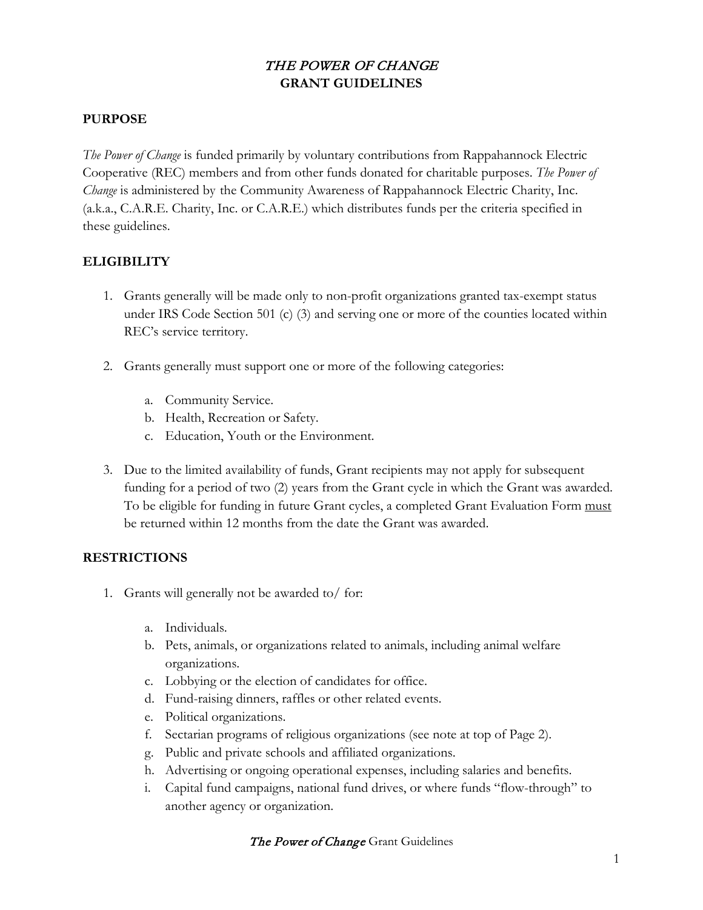# THE POWER OF CHANGE **GRANT GUIDELINES**

#### **PURPOSE**

*The Power of Change* is funded primarily by voluntary contributions from Rappahannock Electric Cooperative (REC) members and from other funds donated for charitable purposes. *The Power of Change* is administered by the Community Awareness of Rappahannock Electric Charity, Inc. (a.k.a., C.A.R.E. Charity, Inc. or C.A.R.E.) which distributes funds per the criteria specified in these guidelines.

### **ELIGIBILITY**

- 1. Grants generally will be made only to non-profit organizations granted tax-exempt status under IRS Code Section 501 (c) (3) and serving one or more of the counties located within REC's service territory.
- 2. Grants generally must support one or more of the following categories:
	- a. Community Service.
	- b. Health, Recreation or Safety.
	- c. Education, Youth or the Environment.
- 3. Due to the limited availability of funds, Grant recipients may not apply for subsequent funding for a period of two (2) years from the Grant cycle in which the Grant was awarded. To be eligible for funding in future Grant cycles, a completed Grant Evaluation Form must be returned within 12 months from the date the Grant was awarded.

#### **RESTRICTIONS**

- 1. Grants will generally not be awarded to/ for:
	- a. Individuals.
	- b. Pets, animals, or organizations related to animals, including animal welfare organizations.
	- c. Lobbying or the election of candidates for office.
	- d. Fund-raising dinners, raffles or other related events.
	- e. Political organizations.
	- f. Sectarian programs of religious organizations (see note at top of Page 2).
	- g. Public and private schools and affiliated organizations.
	- h. Advertising or ongoing operational expenses, including salaries and benefits.
	- i. Capital fund campaigns, national fund drives, or where funds "flow-through" to another agency or organization.

#### The Power of Change Grant Guidelines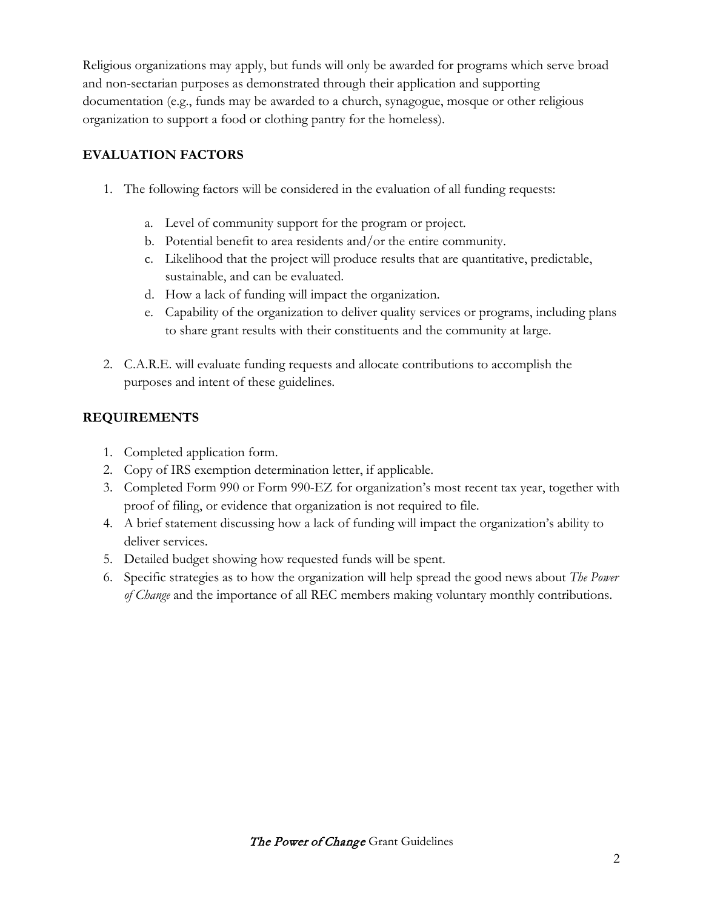Religious organizations may apply, but funds will only be awarded for programs which serve broad and non-sectarian purposes as demonstrated through their application and supporting documentation (e.g., funds may be awarded to a church, synagogue, mosque or other religious organization to support a food or clothing pantry for the homeless).

## **EVALUATION FACTORS**

- 1. The following factors will be considered in the evaluation of all funding requests:
	- a. Level of community support for the program or project.
	- b. Potential benefit to area residents and/or the entire community.
	- c. Likelihood that the project will produce results that are quantitative, predictable, sustainable, and can be evaluated.
	- d. How a lack of funding will impact the organization.
	- e. Capability of the organization to deliver quality services or programs, including plans to share grant results with their constituents and the community at large.
- 2. C.A.R.E. will evaluate funding requests and allocate contributions to accomplish the purposes and intent of these guidelines.

# **REQUIREMENTS**

- 1. Completed application form.
- 2. Copy of IRS exemption determination letter, if applicable.
- 3. Completed Form 990 or Form 990-EZ for organization's most recent tax year, together with proof of filing, or evidence that organization is not required to file.
- 4. A brief statement discussing how a lack of funding will impact the organization's ability to deliver services.
- 5. Detailed budget showing how requested funds will be spent.
- 6. Specific strategies as to how the organization will help spread the good news about *The Power of Change* and the importance of all REC members making voluntary monthly contributions.